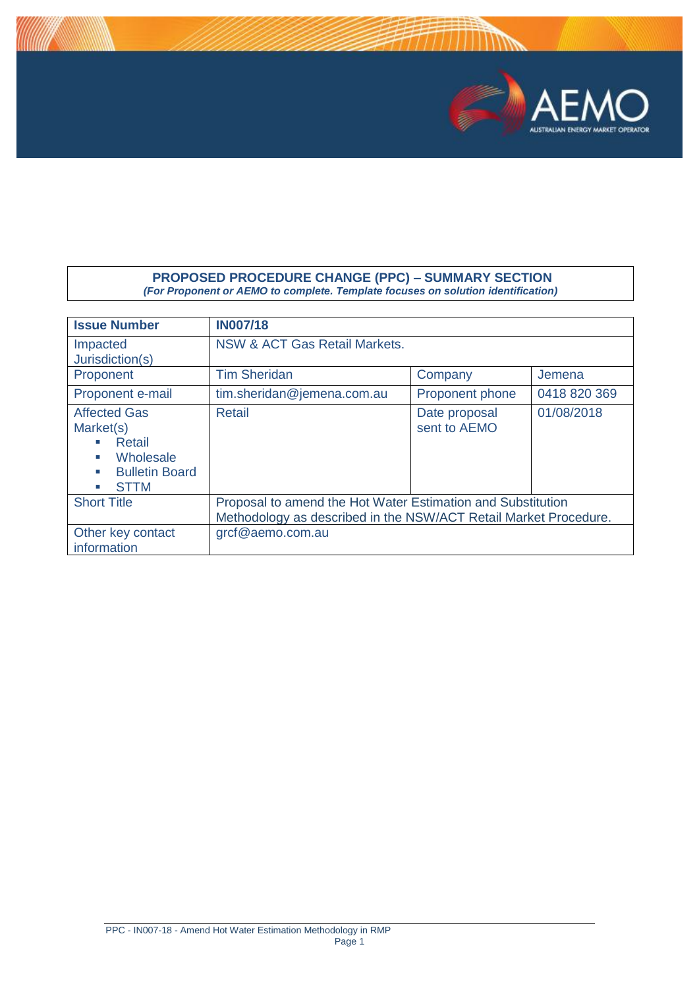

## **PROPOSED PROCEDURE CHANGE (PPC) – SUMMARY SECTION** *(For Proponent or AEMO to complete. Template focuses on solution identification)*

| <b>Issue Number</b>                                                                                               | <b>IN007/18</b>                                                                                                                 |                               |              |  |  |  |
|-------------------------------------------------------------------------------------------------------------------|---------------------------------------------------------------------------------------------------------------------------------|-------------------------------|--------------|--|--|--|
| Impacted<br>Jurisdiction(s)                                                                                       | NSW & ACT Gas Retail Markets.                                                                                                   |                               |              |  |  |  |
| Proponent                                                                                                         | <b>Tim Sheridan</b>                                                                                                             | Jemena                        |              |  |  |  |
| Proponent e-mail                                                                                                  | tim.sheridan@jemena.com.au                                                                                                      | <b>Proponent phone</b>        | 0418 820 369 |  |  |  |
| <b>Affected Gas</b><br>Market(s)<br>Retail<br>Wholesale<br><b>C</b><br><b>Bulletin Board</b><br><b>STTM</b><br>×. | Retail                                                                                                                          | Date proposal<br>sent to AEMO | 01/08/2018   |  |  |  |
| <b>Short Title</b>                                                                                                | Proposal to amend the Hot Water Estimation and Substitution<br>Methodology as described in the NSW/ACT Retail Market Procedure. |                               |              |  |  |  |
| Other key contact<br>information                                                                                  | grcf@aemo.com.au                                                                                                                |                               |              |  |  |  |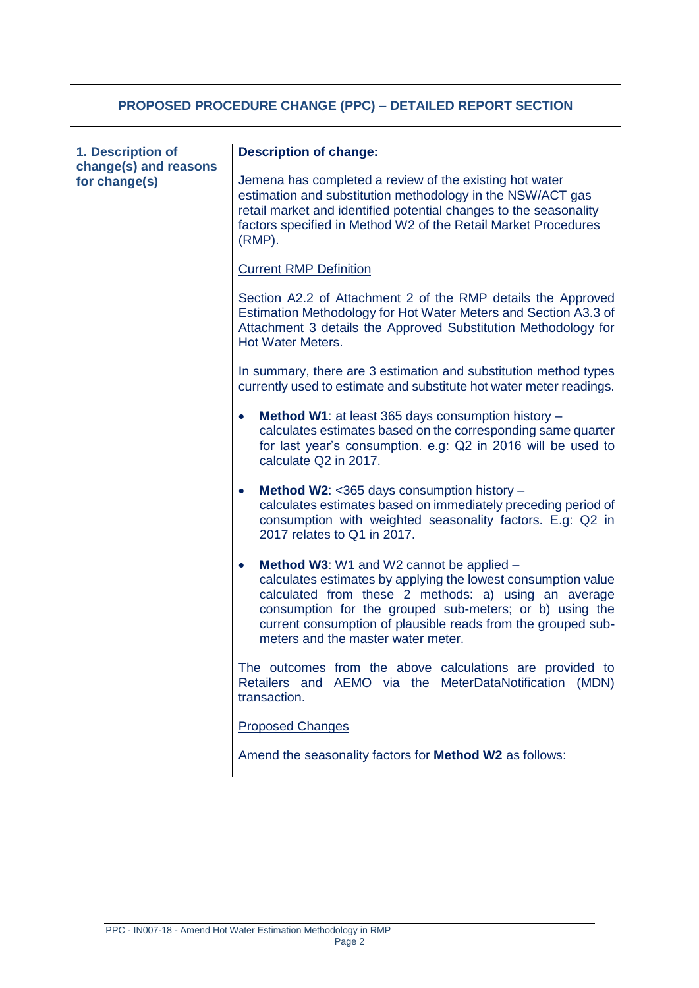# **PROPOSED PROCEDURE CHANGE (PPC) – DETAILED REPORT SECTION**

| 1. Description of     | <b>Description of change:</b>                                                                                                                                                                                                                                                                                                                          |  |  |  |  |
|-----------------------|--------------------------------------------------------------------------------------------------------------------------------------------------------------------------------------------------------------------------------------------------------------------------------------------------------------------------------------------------------|--|--|--|--|
| change(s) and reasons |                                                                                                                                                                                                                                                                                                                                                        |  |  |  |  |
| for change(s)         | Jemena has completed a review of the existing hot water<br>estimation and substitution methodology in the NSW/ACT gas<br>retail market and identified potential changes to the seasonality<br>factors specified in Method W2 of the Retail Market Procedures<br>$(RMP)$ .                                                                              |  |  |  |  |
|                       | <b>Current RMP Definition</b>                                                                                                                                                                                                                                                                                                                          |  |  |  |  |
|                       | Section A2.2 of Attachment 2 of the RMP details the Approved<br>Estimation Methodology for Hot Water Meters and Section A3.3 of<br>Attachment 3 details the Approved Substitution Methodology for<br><b>Hot Water Meters.</b>                                                                                                                          |  |  |  |  |
|                       | In summary, there are 3 estimation and substitution method types<br>currently used to estimate and substitute hot water meter readings.                                                                                                                                                                                                                |  |  |  |  |
|                       | Method W1: at least 365 days consumption history -<br>$\bullet$<br>calculates estimates based on the corresponding same quarter<br>for last year's consumption. e.g: Q2 in 2016 will be used to<br>calculate Q2 in 2017.                                                                                                                               |  |  |  |  |
|                       | Method W2: <365 days consumption history -<br>$\bullet$<br>calculates estimates based on immediately preceding period of<br>consumption with weighted seasonality factors. E.g: Q2 in<br>2017 relates to Q1 in 2017.                                                                                                                                   |  |  |  |  |
|                       | <b>Method W3: W1 and W2 cannot be applied –</b><br>$\bullet$<br>calculates estimates by applying the lowest consumption value<br>calculated from these 2 methods: a) using an average<br>consumption for the grouped sub-meters; or b) using the<br>current consumption of plausible reads from the grouped sub-<br>meters and the master water meter. |  |  |  |  |
|                       | The outcomes from the above calculations are provided to<br>AEMO via the MeterDataNotification (MDN)<br>Retailers and<br>transaction.                                                                                                                                                                                                                  |  |  |  |  |
|                       | <b>Proposed Changes</b>                                                                                                                                                                                                                                                                                                                                |  |  |  |  |
|                       | Amend the seasonality factors for Method W2 as follows:                                                                                                                                                                                                                                                                                                |  |  |  |  |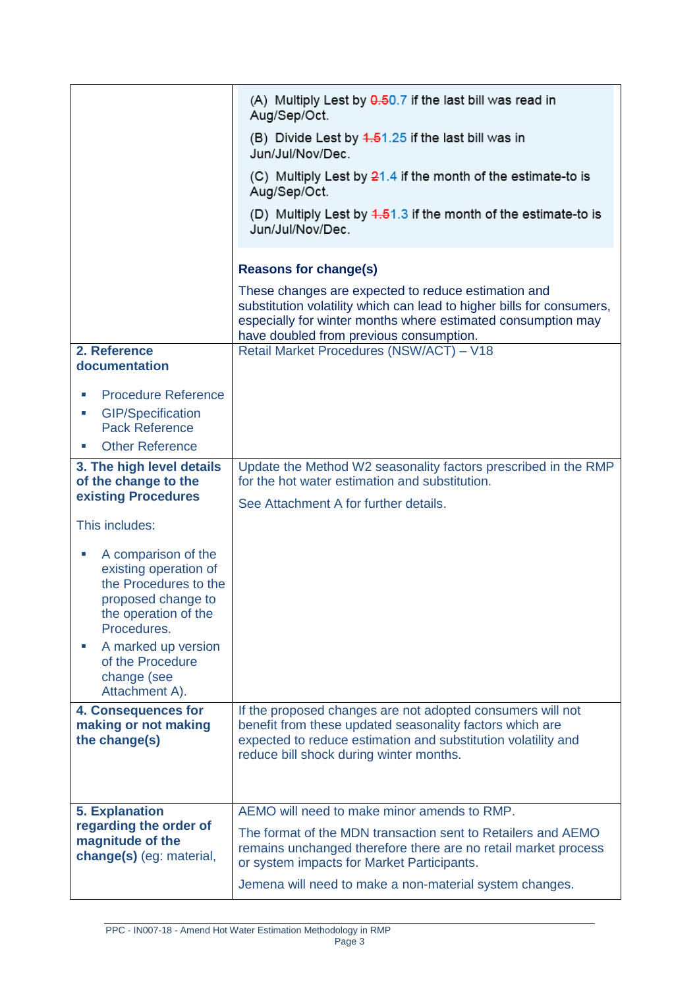|                                                                                                                                                                                                                                                                                                                                                                                                                                            | (A) Multiply Lest by 0.50.7 if the last bill was read in<br>Aug/Sep/Oct.<br>(B) Divide Lest by $4.51.25$ if the last bill was in<br>Jun/Jul/Nov/Dec.<br>(C) Multiply Lest by $21.4$ if the month of the estimate-to is<br>Aug/Sep/Oct.<br>(D) Multiply Lest by $4.51.3$ if the month of the estimate-to is<br>Jun/Jul/Nov/Dec. |
|--------------------------------------------------------------------------------------------------------------------------------------------------------------------------------------------------------------------------------------------------------------------------------------------------------------------------------------------------------------------------------------------------------------------------------------------|--------------------------------------------------------------------------------------------------------------------------------------------------------------------------------------------------------------------------------------------------------------------------------------------------------------------------------|
|                                                                                                                                                                                                                                                                                                                                                                                                                                            | <b>Reasons for change(s)</b><br>These changes are expected to reduce estimation and<br>substitution volatility which can lead to higher bills for consumers,<br>especially for winter months where estimated consumption may<br>have doubled from previous consumption.                                                        |
| 2. Reference<br>documentation                                                                                                                                                                                                                                                                                                                                                                                                              | Retail Market Procedures (NSW/ACT) - V18                                                                                                                                                                                                                                                                                       |
| <b>Procedure Reference</b><br>ш<br><b>GIP/Specification</b><br>×.<br><b>Pack Reference</b><br><b>Other Reference</b><br>3. The high level details<br>of the change to the<br>existing Procedures<br>This includes:<br>A comparison of the<br>×.<br>existing operation of<br>the Procedures to the<br>proposed change to<br>the operation of the<br>Procedures.<br>A marked up version<br>of the Procedure<br>change (see<br>Attachment A). | Update the Method W2 seasonality factors prescribed in the RMP<br>for the hot water estimation and substitution.<br>See Attachment A for further details.                                                                                                                                                                      |
| 4. Consequences for<br>making or not making<br>the change(s)                                                                                                                                                                                                                                                                                                                                                                               | If the proposed changes are not adopted consumers will not<br>benefit from these updated seasonality factors which are<br>expected to reduce estimation and substitution volatility and<br>reduce bill shock during winter months.                                                                                             |
| <b>5. Explanation</b><br>regarding the order of<br>magnitude of the<br>change(s) (eg: material,                                                                                                                                                                                                                                                                                                                                            | AEMO will need to make minor amends to RMP.<br>The format of the MDN transaction sent to Retailers and AEMO<br>remains unchanged therefore there are no retail market process<br>or system impacts for Market Participants.<br>Jemena will need to make a non-material system changes.                                         |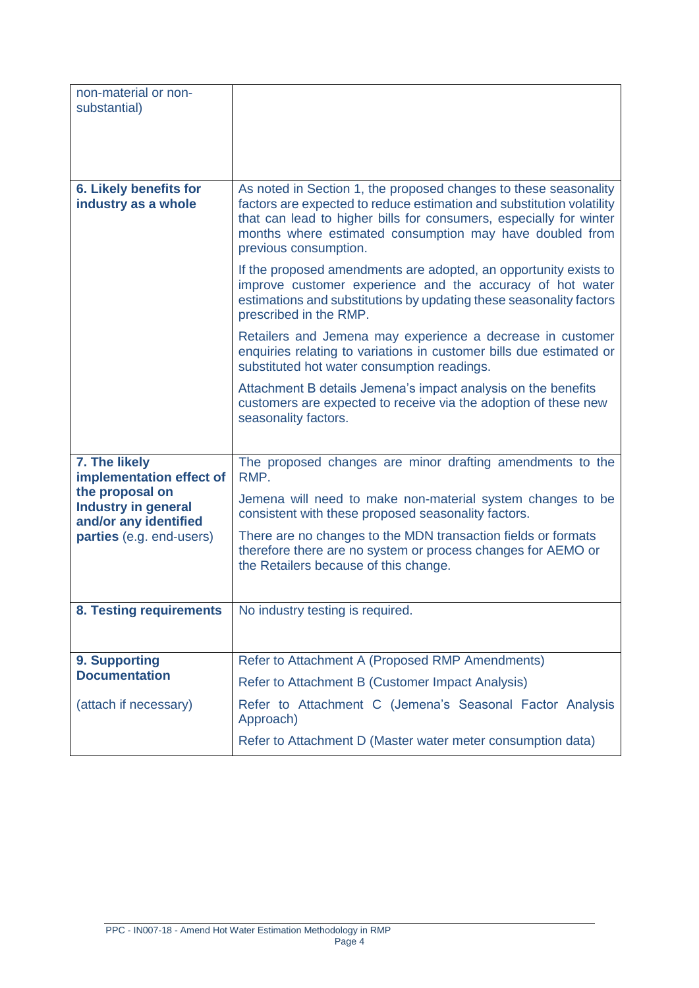| non-material or non-<br>substantial)                                   |                                                                                                                                                                                                                                                                                                      |  |  |  |  |
|------------------------------------------------------------------------|------------------------------------------------------------------------------------------------------------------------------------------------------------------------------------------------------------------------------------------------------------------------------------------------------|--|--|--|--|
| <b>6. Likely benefits for</b><br>industry as a whole                   | As noted in Section 1, the proposed changes to these seasonality<br>factors are expected to reduce estimation and substitution volatility<br>that can lead to higher bills for consumers, especially for winter<br>months where estimated consumption may have doubled from<br>previous consumption. |  |  |  |  |
|                                                                        | If the proposed amendments are adopted, an opportunity exists to<br>improve customer experience and the accuracy of hot water<br>estimations and substitutions by updating these seasonality factors<br>prescribed in the RMP.                                                                       |  |  |  |  |
|                                                                        | Retailers and Jemena may experience a decrease in customer<br>enquiries relating to variations in customer bills due estimated or<br>substituted hot water consumption readings.                                                                                                                     |  |  |  |  |
|                                                                        | Attachment B details Jemena's impact analysis on the benefits<br>customers are expected to receive via the adoption of these new<br>seasonality factors.                                                                                                                                             |  |  |  |  |
| 7. The likely<br>implementation effect of                              | The proposed changes are minor drafting amendments to the<br>RMP.                                                                                                                                                                                                                                    |  |  |  |  |
| the proposal on<br><b>Industry in general</b><br>and/or any identified | Jemena will need to make non-material system changes to be<br>consistent with these proposed seasonality factors.                                                                                                                                                                                    |  |  |  |  |
| parties (e.g. end-users)                                               | There are no changes to the MDN transaction fields or formats<br>therefore there are no system or process changes for AEMO or<br>the Retailers because of this change.                                                                                                                               |  |  |  |  |
| 8. Testing requirements                                                | No industry testing is required.                                                                                                                                                                                                                                                                     |  |  |  |  |
|                                                                        |                                                                                                                                                                                                                                                                                                      |  |  |  |  |
| 9. Supporting<br><b>Documentation</b>                                  | Refer to Attachment A (Proposed RMP Amendments)                                                                                                                                                                                                                                                      |  |  |  |  |
|                                                                        | Refer to Attachment B (Customer Impact Analysis)                                                                                                                                                                                                                                                     |  |  |  |  |
| (attach if necessary)                                                  | Refer to Attachment C (Jemena's Seasonal Factor Analysis<br>Approach)                                                                                                                                                                                                                                |  |  |  |  |
|                                                                        | Refer to Attachment D (Master water meter consumption data)                                                                                                                                                                                                                                          |  |  |  |  |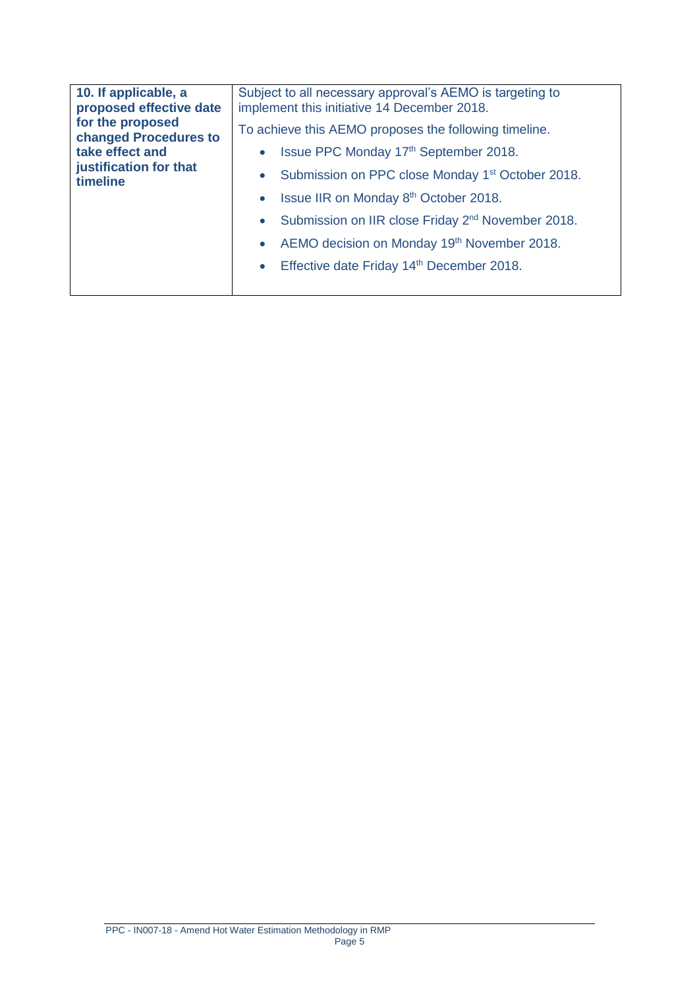| 10. If applicable, a<br>proposed effective date       | Subject to all necessary approval's AEMO is targeting to<br>implement this initiative 14 December 2018. |
|-------------------------------------------------------|---------------------------------------------------------------------------------------------------------|
| for the proposed<br>changed Procedures to             | To achieve this AEMO proposes the following timeline.                                                   |
| take effect and<br>justification for that<br>timeline | Issue PPC Monday 17th September 2018.                                                                   |
|                                                       | Submission on PPC close Monday 1 <sup>st</sup> October 2018.<br>$\bullet$                               |
|                                                       | Issue IIR on Monday 8th October 2018.                                                                   |
|                                                       | Submission on IIR close Friday 2 <sup>nd</sup> November 2018.<br>$\bullet$                              |
|                                                       | AEMO decision on Monday 19th November 2018.<br>$\bullet$                                                |
|                                                       | Effective date Friday 14th December 2018.<br>$\bullet$                                                  |
|                                                       |                                                                                                         |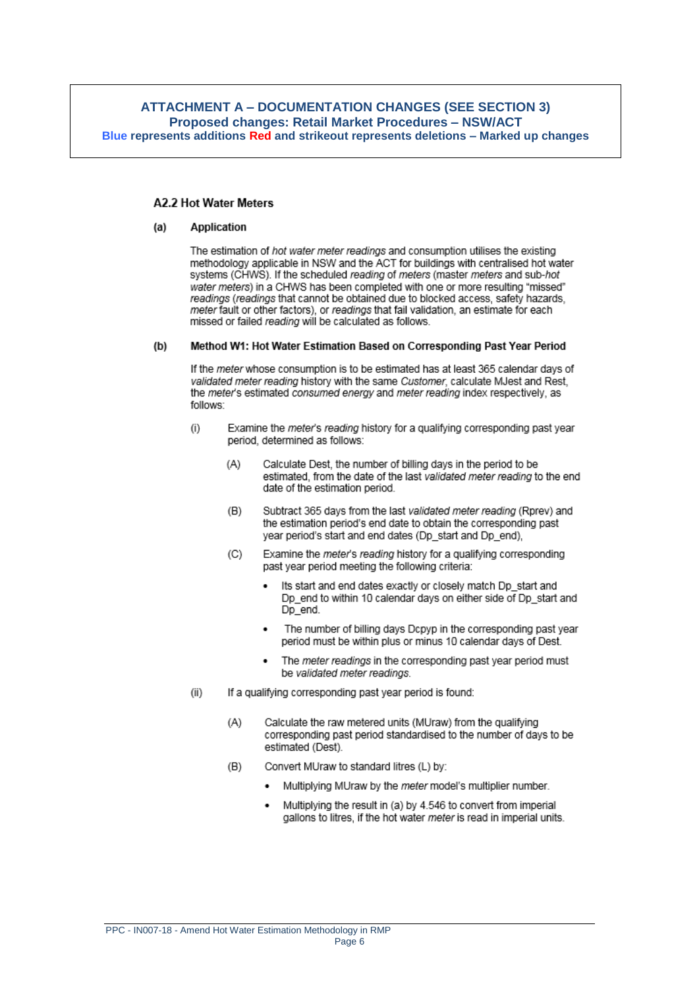## **ATTACHMENT A - DOCUMENTATION CHANGES (SEE SECTION 3)** Proposed changes: Retail Market Procedures - NSW/ACT Blue represents additions Red and strikeout represents deletions - Marked up changes

## **A2.2 Hot Water Meters**

#### $(a)$ **Application**

The estimation of hot water meter readings and consumption utilises the existing methodology applicable in NSW and the ACT for buildings with centralised hot water systems (CHWS). If the scheduled reading of meters (master meters and sub-hot water meters) in a CHWS has been completed with one or more resulting "missed" readings (readings that cannot be obtained due to blocked access, safety hazards, meter fault or other factors), or readings that fail validation, an estimate for each missed or failed reading will be calculated as follows.

#### $(b)$ Method W1: Hot Water Estimation Based on Corresponding Past Year Period

If the meter whose consumption is to be estimated has at least 365 calendar days of validated meter reading history with the same Customer, calculate MJest and Rest. the meter's estimated consumed energy and meter reading index respectively, as follows:

- $(i)$ Examine the meter's reading history for a qualifying corresponding past year period, determined as follows:
	- $(A)$ Calculate Dest, the number of billing days in the period to be estimated, from the date of the last validated meter reading to the end date of the estimation period.
	- Subtract 365 days from the last validated meter reading (Rprey) and  $(B)$ the estimation period's end date to obtain the corresponding past year period's start and end dates (Dp start and Dp end).
	- $(C)$ Examine the meter's reading history for a qualifying corresponding past year period meeting the following criteria:
		- Its start and end dates exactly or closely match Dp start and Dp end to within 10 calendar days on either side of Dp start and Dp\_end.
		- The number of billing days Dcpyp in the corresponding past year period must be within plus or minus 10 calendar days of Dest.
		- The meter readings in the corresponding past year period must  $\bullet$ be validated meter readings.
- If a qualifying corresponding past year period is found:  $(ii)$ 
	- $(A)$ Calculate the raw metered units (MUraw) from the qualifying corresponding past period standardised to the number of days to be estimated (Dest).
	- $(B)$ Convert MUraw to standard litres (L) by:
		- Multiplying MUraw by the meter model's multiplier number.
		- Multiplying the result in (a) by 4.546 to convert from imperial gallons to litres, if the hot water meter is read in imperial units.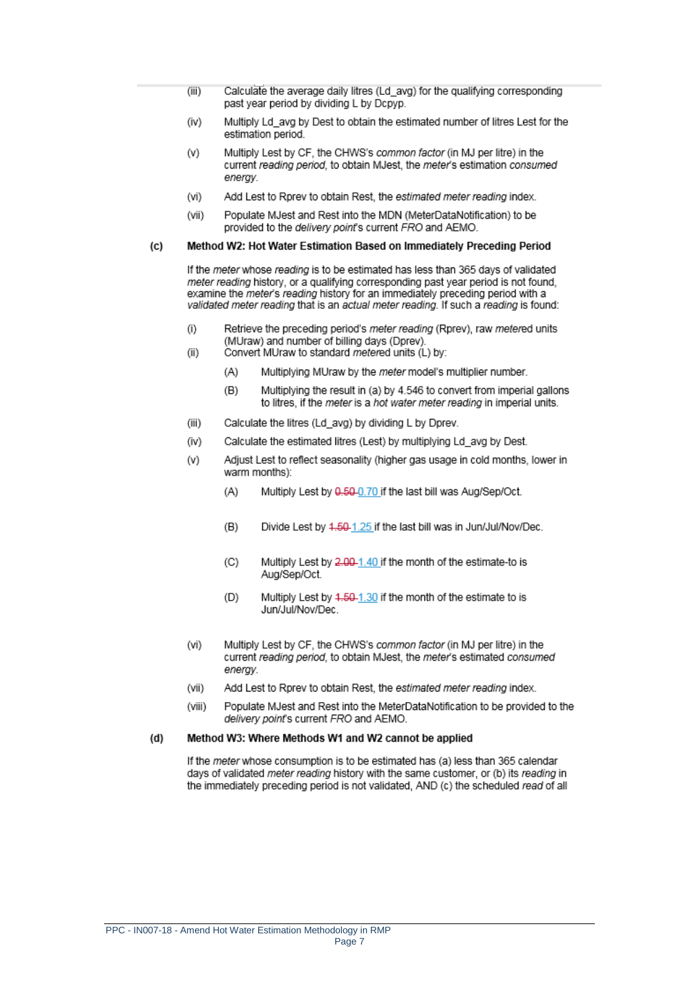- Calculate the average daily litres (Ld\_avg) for the qualifying corresponding  $(iii)$ past year period by dividing L by Dcpyp.
- $(iv)$ Multiply Ld\_avg by Dest to obtain the estimated number of litres Lest for the estimation period.
- Multiply Lest by CF, the CHWS's common factor (in MJ per litre) in the  $(v)$ current reading period, to obtain MJest, the meter's estimation consumed enerav.
- $(vi)$ Add Lest to Rprev to obtain Rest, the estimated meter reading index.
- $(vii)$ Populate MJest and Rest into the MDN (MeterDataNotification) to be provided to the *delivery point's* current FRO and AEMO.

#### Method W2: Hot Water Estimation Based on Immediately Preceding Period  $(c)$

If the meter whose reading is to be estimated has less than 365 days of validated meter reading history, or a qualifying corresponding past year period is not found, examine the *meter's* reading history for an immediately preceding period with a validated meter reading that is an actual meter reading. If such a reading is found:

- Retrieve the preceding period's meter reading (Rprev), raw metered units  $(i)$ (MUraw) and number of billing days (Dprev).
- Convert MUraw to standard metered units (L) by:  $(ii)$ 
	- $(A)$ Multiplying MUraw by the meter model's multiplier number.
	- $(B)$ Multiplying the result in (a) by 4.546 to convert from imperial gallons to litres, if the meter is a hot water meter reading in imperial units.
- $(iii)$ Calculate the litres (Ld\_avg) by dividing L by Dprev.
- Calculate the estimated litres (Lest) by multiplying Ld avg by Dest.  $(iv)$
- Adjust Lest to reflect seasonality (higher gas usage in cold months, lower in  $(V)$ warm months):
	- $(A)$ Multiply Lest by 0.50-0.70 if the last bill was Aug/Sep/Oct.
	- $(B)$ Divide Lest by 4.50-1.25 if the last bill was in Jun/Jul/Nov/Dec.
	- $(C)$ Multiply Lest by 2.00-1.40 if the month of the estimate-to is Aug/Sep/Oct.
	- Multiply Lest by 4.50-1.30 if the month of the estimate to is  $(D)$ Jun/Jul/Nov/Dec.
- $(vi)$ Multiply Lest by CF, the CHWS's common factor (in MJ per litre) in the current reading period, to obtain MJest, the meter's estimated consumed energy.
- $(vii)$ Add Lest to Rorey to obtain Rest, the estimated meter reading index.
- (viii) Populate MJest and Rest into the MeterDataNotification to be provided to the delivery point's current FRO and AEMO.

#### Method W3: Where Methods W1 and W2 cannot be applied  $(d)$

If the *meter* whose consumption is to be estimated has (a) less than 365 calendar days of validated meter reading history with the same customer, or (b) its reading in the immediately preceding period is not validated, AND (c) the scheduled read of all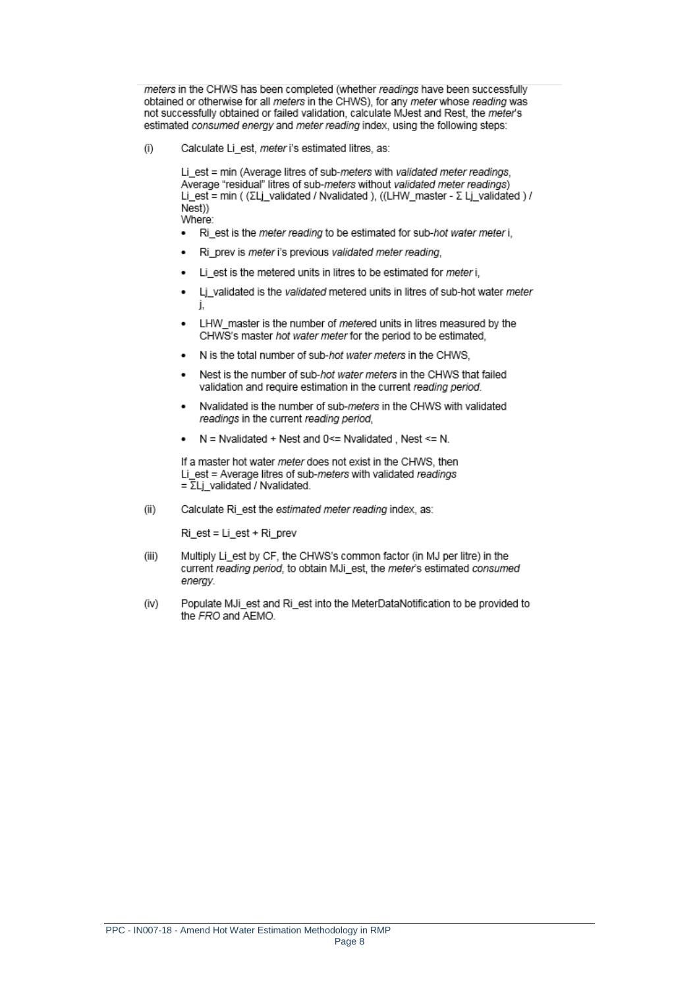meters in the CHWS has been completed (whether readings have been successfully obtained or otherwise for all meters in the CHWS), for any meter whose reading was not successfully obtained or failed validation, calculate MJest and Rest, the meter's estimated consumed energy and meter reading index, using the following steps:

Calculate Li\_est, meter i's estimated litres, as:  $(i)$ 

> Li est = min (Average litres of sub-meters with validated meter readings, Average "residual" litres of sub-meters without validated meter readings) Li\_est = min ( (ΣLj\_validated / Nvalidated ), ((LHW\_master - Σ Lj\_validated ) / Nest)) Where:

- Ri\_est is the meter reading to be estimated for sub-hot water meter i,  $\bullet$
- Ri prev is meter i's previous validated meter reading.  $\bullet$
- Li\_est is the metered units in litres to be estimated for meter i,  $\bullet$
- Li validated is the validated metered units in litres of sub-hot water meter  $\bullet$ L
- LHW master is the number of metered units in litres measured by the ٠ CHWS's master hot water meter for the period to be estimated.
- N is the total number of sub-hot water meters in the CHWS.
- Nest is the number of sub-hot water meters in the CHWS that failed validation and require estimation in the current reading period.
- Nvalidated is the number of sub-meters in the CHWS with validated  $\bullet$ readings in the current reading period.
- $N =$  Nvalidated + Nest and 0<= Nvalidated, Nest <= N.  $\bullet$

If a master hot water meter does not exist in the CHWS, then Li est = Average litres of sub-meters with validated readings  $=\overline{\Sigma}$ Lj validated / Nvalidated.

 $(ii)$ Calculate Ri\_est the estimated meter reading index, as:

Ri est = Li est + Ri prev

- $(iii)$ Multiply Li\_est by CF, the CHWS's common factor (in MJ per litre) in the current reading period, to obtain MJi\_est, the meter's estimated consumed energy.
- Populate MJi\_est and Ri\_est into the MeterDataNotification to be provided to (iv) the FRO and AEMO.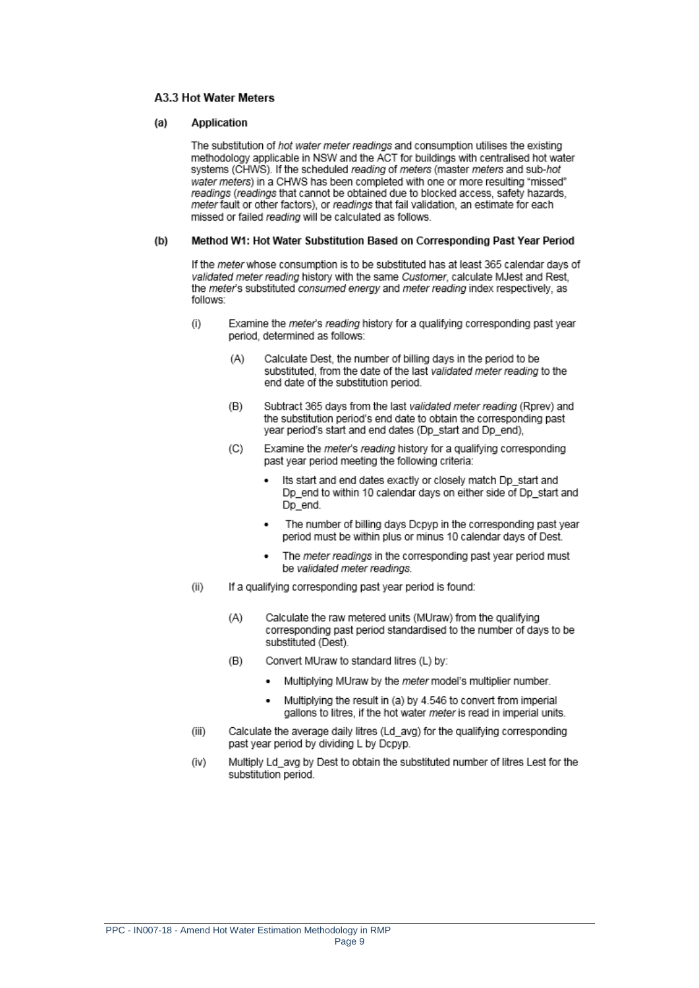## A3.3 Hot Water Meters

#### $(a)$ **Application**

The substitution of hot water meter readings and consumption utilises the existing methodology applicable in NSW and the ACT for buildings with centralised hot water systems (CHWS). If the scheduled reading of meters (master meters and sub-hot water meters) in a CHWS has been completed with one or more resulting "missed" readings (readings that cannot be obtained due to blocked access, safety hazards, meter fault or other factors), or readings that fail validation, an estimate for each missed or failed reading will be calculated as follows.

#### Method W1: Hot Water Substitution Based on Corresponding Past Year Period  $(b)$

If the meter whose consumption is to be substituted has at least 365 calendar days of validated meter reading history with the same Customer, calculate MJest and Rest. the meter's substituted consumed energy and meter reading index respectively, as follows:

- $(i)$ Examine the meter's reading history for a qualifying corresponding past year period, determined as follows:
	- $(A)$ Calculate Dest, the number of billing days in the period to be substituted, from the date of the last validated meter reading to the end date of the substitution period.
	- $(B)$ Subtract 365 days from the last validated meter reading (Rprev) and the substitution period's end date to obtain the corresponding past year period's start and end dates (Dp\_start and Dp\_end),
	- Examine the meter's reading history for a qualifying corresponding  $(C)$ past year period meeting the following criteria:
		- Its start and end dates exactly or closely match Dp\_start and Dp\_end to within 10 calendar days on either side of Dp\_start and Dp\_end.
		- The number of billing days Dcpyp in the corresponding past year period must be within plus or minus 10 calendar days of Dest.
		- The meter readings in the corresponding past year period must be validated meter readings.
- $(ii)$ If a qualifying corresponding past year period is found:
	- $(A)$ Calculate the raw metered units (MUraw) from the qualifying corresponding past period standardised to the number of days to be substituted (Dest).
	- Convert MUraw to standard litres (L) by:  $(B)$ 
		- Multiplying MUraw by the meter model's multiplier number.
		- Multiplying the result in (a) by 4.546 to convert from imperial gallons to litres, if the hot water meter is read in imperial units.
- $(iii)$ Calculate the average daily litres (Ld\_avg) for the qualifying corresponding past year period by dividing L by Dcpyp.
- Multiply Ld\_avg by Dest to obtain the substituted number of litres Lest for the (iv) substitution period.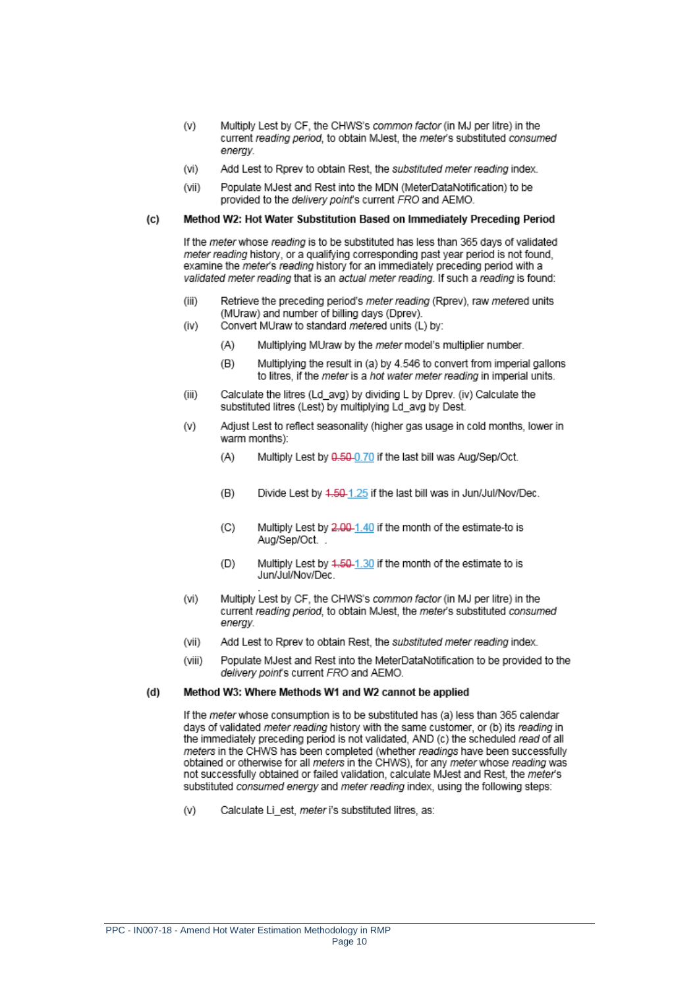- $(v)$ Multiply Lest by CF, the CHWS's common factor (in MJ per litre) in the current reading period, to obtain MJest, the meter's substituted consumed enerav.
- Add Lest to Rorey to obtain Rest, the substituted meter reading index.  $(vi)$
- Populate MJest and Rest into the MDN (MeterDataNotification) to be (vii) provided to the delivery point's current FRO and AEMO.

#### $(c)$ Method W2: Hot Water Substitution Based on Immediately Preceding Period

If the meter whose reading is to be substituted has less than 365 days of validated meter reading history, or a qualifying corresponding past year period is not found. examine the *meter's reading* history for an immediately preceding period with a validated meter reading that is an actual meter reading. If such a reading is found:

- $(iii)$ Retrieve the preceding period's meter reading (Rprev), raw metered units (MUraw) and number of billing days (Dprev).  $(iv)$ 
	- Convert MUraw to standard metered units (L) by:
		- $(A)$ Multiplying MUraw by the meter model's multiplier number.
		- $(B)$ Multiplying the result in (a) by 4.546 to convert from imperial gallons to litres, if the meter is a hot water meter reading in imperial units.
- $(iii)$ Calculate the litres (Ld avg) by dividing L by Dprey. (iv) Calculate the substituted litres (Lest) by multiplying Ld avg by Dest.
- $(v)$ Adjust Lest to reflect seasonality (higher gas usage in cold months, lower in warm months):
	- $(A)$ Multiply Lest by 0.50-0.70 if the last bill was Aug/Sep/Oct.
	- $(B)$ Divide Lest by 4.50-1.25 if the last bill was in Jun/Jul/Nov/Dec.
	- $(C)$ Multiply Lest by 2.00-1.40 if the month of the estimate-to is Aug/Sep/Oct.
	- Multiply Lest by 4.50-1.30 if the month of the estimate to is  $(D)$ Jun/Jul/Nov/Dec
- $(vi)$ Multiply Lest by CF, the CHWS's common factor (in MJ per litre) in the current reading period, to obtain MJest, the meter's substituted consumed enerav
- $(vii)$ Add Lest to Rprev to obtain Rest, the substituted meter reading index.
- (viii) Populate MJest and Rest into the MeterDataNotification to be provided to the delivery point's current FRO and AEMO.

#### $(d)$ Method W3: Where Methods W1 and W2 cannot be applied

If the meter whose consumption is to be substituted has (a) less than 365 calendar days of validated meter reading history with the same customer, or (b) its reading in the immediately preceding period is not validated. AND (c) the scheduled read of all meters in the CHWS has been completed (whether readings have been successfully obtained or otherwise for all meters in the CHWS), for any meter whose reading was not successfully obtained or failed validation, calculate MJest and Rest, the meter's substituted consumed energy and meter reading index, using the following steps:

 $(v)$ Calculate Li\_est, meter i's substituted litres, as: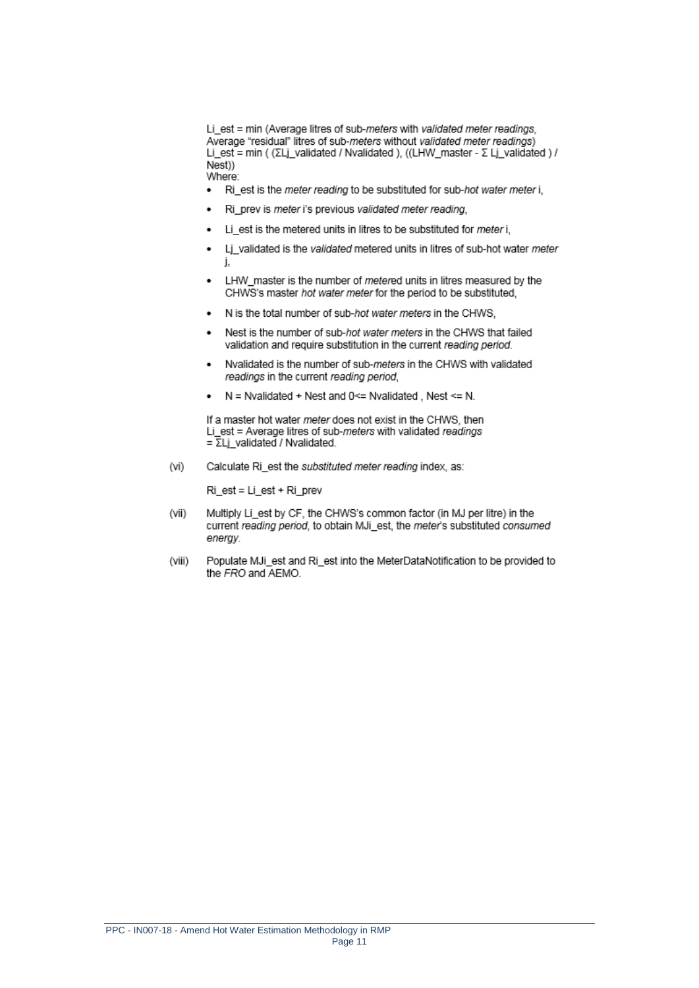Li est = min (Average litres of sub-meters with validated meter readings, Average "residual" litres of sub-meters without validated meter readings) Li\_est = min ( (ΣLj\_validated / Nvalidated ), ((LHW\_master - Σ Lj\_validated ) /  $Nest$ ) Where:

- Ri est is the meter reading to be substituted for sub-hot water meter i,  $\bullet$
- Ri\_prev is meter i's previous validated meter reading,
- Li\_est is the metered units in litres to be substituted for meter i,
- Lj\_validated is the validated metered units in litres of sub-hot water meter
- LHW master is the number of metered units in litres measured by the CHWS's master hot water meter for the period to be substituted.
- N is the total number of sub-hot water meters in the CHWS,
- Nest is the number of sub-hot water meters in the CHWS that failed validation and require substitution in the current reading period.
- Nvalidated is the number of sub-meters in the CHWS with validated  $\bullet$ readings in the current reading period,
- $N =$  Nvalidated + Nest and 0<= Nvalidated . Nest <= N.

If a master hot water meter does not exist in the CHWS, then Li est = Average litres of sub-meters with validated readings  $=\overline{\Sigma}$ Lj\_validated / Nvalidated.

 $(vi)$ Calculate Ri\_est the substituted meter reading index, as:

 $Ri$  est = Li est + Ri prev

- Multiply Li\_est by CF, the CHWS's common factor (in MJ per litre) in the (vii) current reading period, to obtain MJi\_est, the meter's substituted consumed enerav.
- $(viii)$ Populate MJi est and Ri est into the MeterDataNotification to be provided to the FRO and AEMO.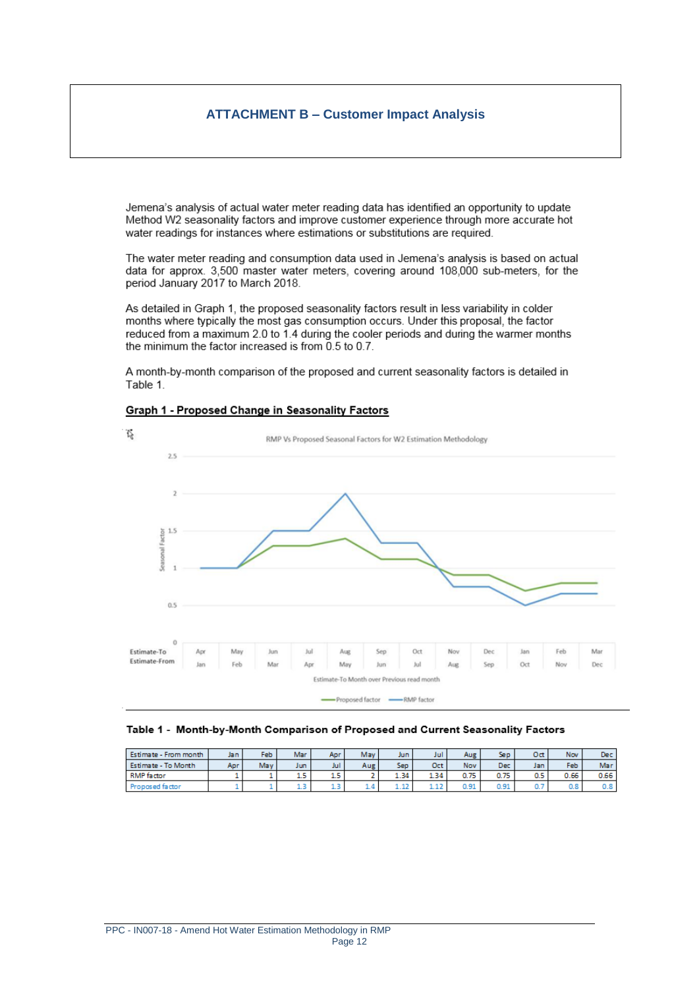## **ATTACHMENT B – Customer Impact Analysis**

Jemena's analysis of actual water meter reading data has identified an opportunity to update Method W2 seasonality factors and improve customer experience through more accurate hot water readings for instances where estimations or substitutions are required.

The water meter reading and consumption data used in Jemena's analysis is based on actual data for approx. 3,500 master water meters, covering around 108,000 sub-meters, for the period January 2017 to March 2018.

As detailed in Graph 1, the proposed seasonality factors result in less variability in colder months where typically the most gas consumption occurs. Under this proposal, the factor reduced from a maximum 2.0 to 1.4 during the cooler periods and during the warmer months the minimum the factor increased is from  $0.5$  to  $0.7$ .

A month-by-month comparison of the proposed and current seasonality factors is detailed in Table 1.

## Graph 1 - Proposed Change in Seasonality Factors



### Table 1 - Month-by-Month Comparison of Proposed and Current Seasonality Factors

| Estimate - From month | Ja n | Feb | Mar                             | Apr   | May            | Jun  | Jul  | Aug  | Sep  | Oct | <b>Nov</b> | Dec  |
|-----------------------|------|-----|---------------------------------|-------|----------------|------|------|------|------|-----|------------|------|
| Estimate - To Month   | Apr  | May | Jun                             | Jul   | Aug            | Sep  | Oct  | Nov  | Dec. | Jan | Feb.       | Mar  |
| <b>RMP</b> factor     |      |     | $\overline{\phantom{a}}$<br>1.5 | с<br> |                | 1.34 | 4.34 | 0.75 | 0.75 | 0.5 | 0.66       | 0.66 |
| roposed factor        |      |     | ---                             | سمد   | $\overline{a}$ | ---- | ---  | 0.91 | 0.91 | u.  | 0.8        | 0.8  |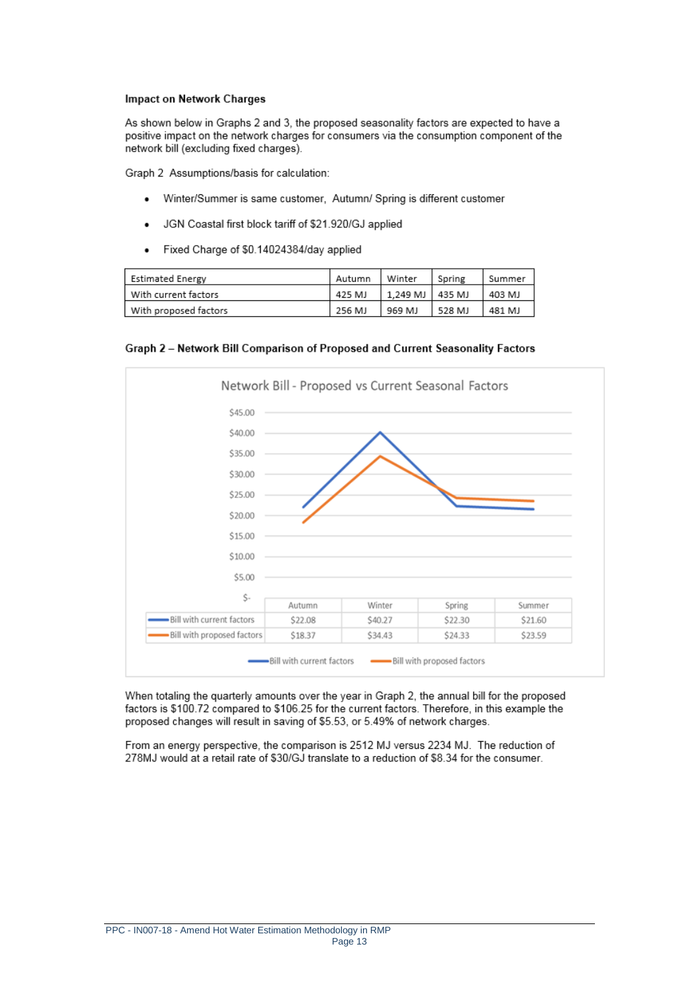### **Impact on Network Charges**

As shown below in Graphs 2 and 3, the proposed seasonality factors are expected to have a positive impact on the network charges for consumers via the consumption component of the network bill (excluding fixed charges).

Graph 2 Assumptions/basis for calculation:

- Winter/Summer is same customer, Autumn/ Spring is different customer ٠
- JGN Coastal first block tariff of \$21.920/GJ applied
- Fixed Charge of \$0.14024384/day applied

| Estimated Energy      | Autumn | Winter            | Spring | Summer |
|-----------------------|--------|-------------------|--------|--------|
| With current factors  | 425 MJ | 1.249 MJ   435 MJ |        | 403 MJ |
| With proposed factors | 256 MJ | 969 MJ            | 528 MJ | 481 MJ |

Graph 2 - Network Bill Comparison of Proposed and Current Seasonality Factors



When totaling the quarterly amounts over the year in Graph 2, the annual bill for the proposed factors is \$100.72 compared to \$106.25 for the current factors. Therefore, in this example the proposed changes will result in saving of \$5.53, or 5.49% of network charges.

From an energy perspective, the comparison is 2512 MJ versus 2234 MJ. The reduction of 278MJ would at a retail rate of \$30/GJ translate to a reduction of \$8.34 for the consumer.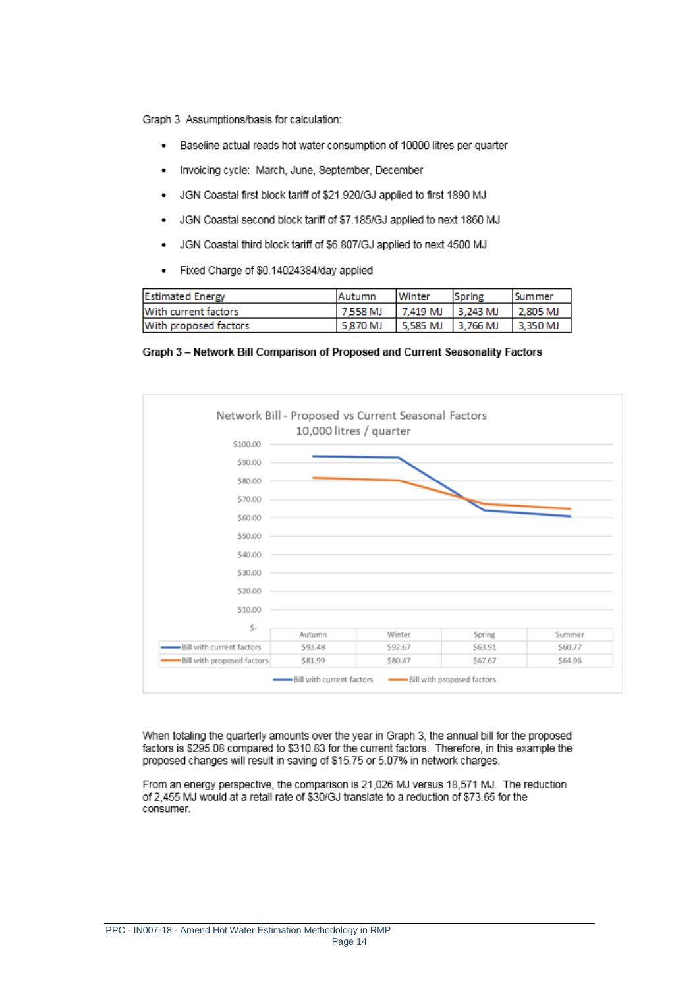Graph 3 Assumptions/basis for calculation:

- Baseline actual reads hot water consumption of 10000 litres per quarter  $\bullet$
- Invoicing cycle: March, June, September, December
- JGN Coastal first block tariff of \$21.920/GJ applied to first 1890 MJ  $\bullet$
- JGN Coastal second block tariff of \$7.185/GJ applied to next 1860 MJ  $\bullet$
- JGN Coastal third block tariff of \$6.807/GJ applied to next 4500 MJ  $\bullet$
- Fixed Charge of \$0.14024384/day applied ٠

| <b>Estimated Energy</b> | <b>IAutumn</b> | <b>Winter</b>       | Spring | l Summer |
|-------------------------|----------------|---------------------|--------|----------|
| With current factors    | 7.558 MJ       | 7.419 MJ   3.243 MJ |        | 2,805 MJ |
| With proposed factors   | 5.870 MJ       | 5.585 MJ   3.766 MJ |        | 3.350 MJ |

Graph 3 - Network Bill Comparison of Proposed and Current Seasonality Factors



When totaling the quarterly amounts over the year in Graph 3, the annual bill for the proposed factors is \$295.08 compared to \$310.83 for the current factors. Therefore, in this example the proposed changes will result in saving of \$15.75 or 5.07% in network charges.

From an energy perspective, the comparison is 21,026 MJ versus 18,571 MJ. The reduction of 2,455 MJ would at a retail rate of \$30/GJ translate to a reduction of \$73.65 for the consumer.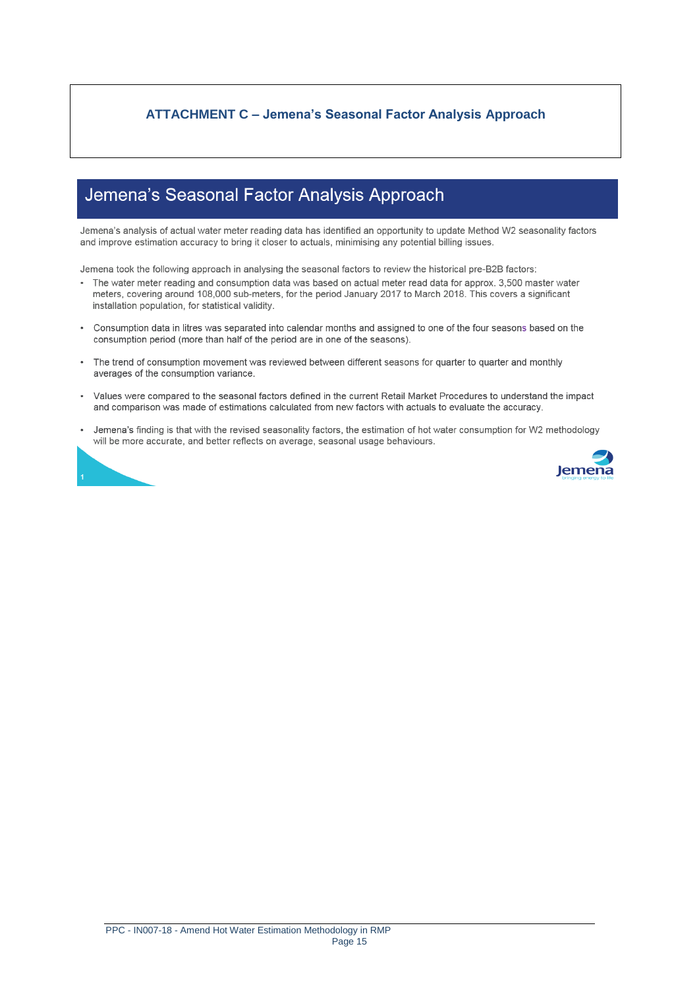## **ATTACHMENT C - Jemena's Seasonal Factor Analysis Approach**

# Jemena's Seasonal Factor Analysis Approach

Jemena's analysis of actual water meter reading data has identified an opportunity to update Method W2 seasonality factors and improve estimation accuracy to bring it closer to actuals, minimising any potential billing issues.

Jemena took the following approach in analysing the seasonal factors to review the historical pre-B2B factors:

- The water meter reading and consumption data was based on actual meter read data for approx. 3,500 master water meters, covering around 108,000 sub-meters, for the period January 2017 to March 2018. This covers a significant installation population, for statistical validity.
- Consumption data in litres was separated into calendar months and assigned to one of the four seasons based on the consumption period (more than half of the period are in one of the seasons).
- The trend of consumption movement was reviewed between different seasons for quarter to quarter and monthly averages of the consumption variance.
- Values were compared to the seasonal factors defined in the current Retail Market Procedures to understand the impact  $\bullet$ and comparison was made of estimations calculated from new factors with actuals to evaluate the accuracy.
- $\bullet$ Jemena's finding is that with the revised seasonality factors, the estimation of hot water consumption for W2 methodology will be more accurate, and better reflects on average, seasonal usage behaviours.